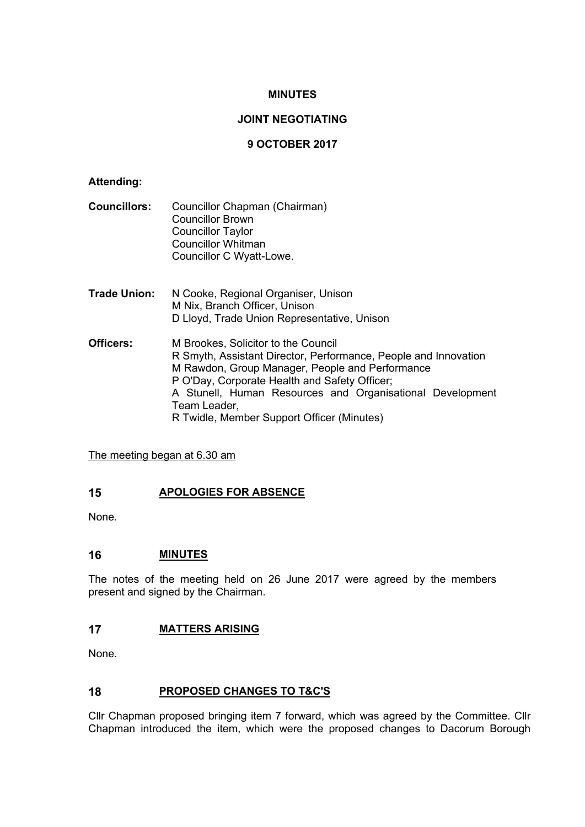## **MINUTES**

# **JOINT NEGOTIATING**

# **9 OCTOBER 2017**

## **Attending:**

- **Councillors:** Councillor Chapman (Chairman) Councillor Brown Councillor Taylor Councillor Whitman Councillor C Wyatt-Lowe.
- **Trade Union:** N Cooke, Regional Organiser, Unison M Nix, Branch Officer, Unison D Lloyd, Trade Union Representative, Unison
- **Officers:** M Brookes, Solicitor to the Council R Smyth, Assistant Director, Performance, People and Innovation M Rawdon, Group Manager, People and Performance P O'Day, Corporate Health and Safety Officer; A Stunell, Human Resources and Organisational Development Team Leader, R Twidle, Member Support Officer (Minutes)

The meeting began at 6.30 am

## **15 APOLOGIES FOR ABSENCE**

None.

## **16 MINUTES**

The notes of the meeting held on 26 June 2017 were agreed by the members present and signed by the Chairman.

## **17 MATTERS ARISING**

None.

## **18 PROPOSED CHANGES TO T&C'S**

Cllr Chapman proposed bringing item 7 forward, which was agreed by the Committee. Cllr Chapman introduced the item, which were the proposed changes to Dacorum Borough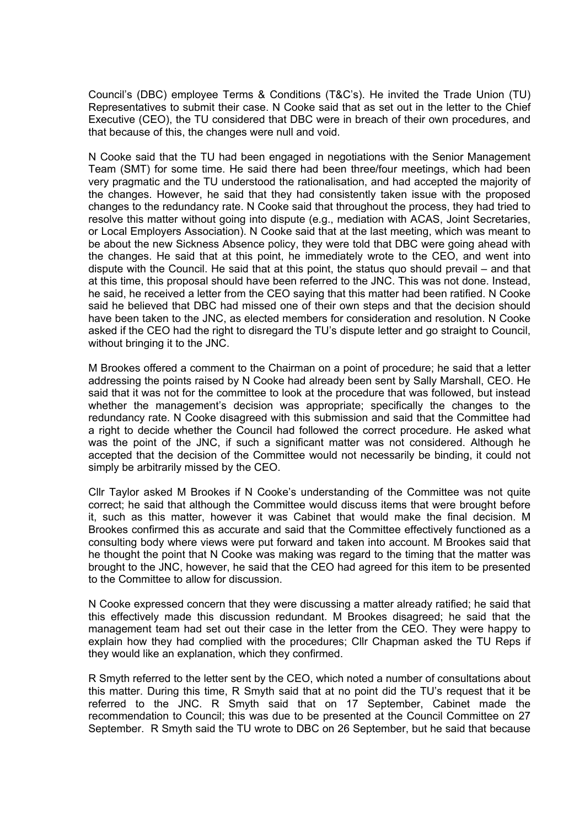Council's (DBC) employee Terms & Conditions (T&C's). He invited the Trade Union (TU) Representatives to submit their case. N Cooke said that as set out in the letter to the Chief Executive (CEO), the TU considered that DBC were in breach of their own procedures, and that because of this, the changes were null and void.

N Cooke said that the TU had been engaged in negotiations with the Senior Management Team (SMT) for some time. He said there had been three/four meetings, which had been very pragmatic and the TU understood the rationalisation, and had accepted the majority of the changes. However, he said that they had consistently taken issue with the proposed changes to the redundancy rate. N Cooke said that throughout the process, they had tried to resolve this matter without going into dispute (e.g., mediation with ACAS, Joint Secretaries, or Local Employers Association). N Cooke said that at the last meeting, which was meant to be about the new Sickness Absence policy, they were told that DBC were going ahead with the changes. He said that at this point, he immediately wrote to the CEO, and went into dispute with the Council. He said that at this point, the status quo should prevail – and that at this time, this proposal should have been referred to the JNC. This was not done. Instead, he said, he received a letter from the CEO saying that this matter had been ratified. N Cooke said he believed that DBC had missed one of their own steps and that the decision should have been taken to the JNC, as elected members for consideration and resolution. N Cooke asked if the CEO had the right to disregard the TU's dispute letter and go straight to Council, without bringing it to the JNC.

M Brookes offered a comment to the Chairman on a point of procedure; he said that a letter addressing the points raised by N Cooke had already been sent by Sally Marshall, CEO. He said that it was not for the committee to look at the procedure that was followed, but instead whether the management's decision was appropriate; specifically the changes to the redundancy rate. N Cooke disagreed with this submission and said that the Committee had a right to decide whether the Council had followed the correct procedure. He asked what was the point of the JNC, if such a significant matter was not considered. Although he accepted that the decision of the Committee would not necessarily be binding, it could not simply be arbitrarily missed by the CEO.

Cllr Taylor asked M Brookes if N Cooke's understanding of the Committee was not quite correct; he said that although the Committee would discuss items that were brought before it, such as this matter, however it was Cabinet that would make the final decision. M Brookes confirmed this as accurate and said that the Committee effectively functioned as a consulting body where views were put forward and taken into account. M Brookes said that he thought the point that N Cooke was making was regard to the timing that the matter was brought to the JNC, however, he said that the CEO had agreed for this item to be presented to the Committee to allow for discussion.

N Cooke expressed concern that they were discussing a matter already ratified; he said that this effectively made this discussion redundant. M Brookes disagreed; he said that the management team had set out their case in the letter from the CEO. They were happy to explain how they had complied with the procedures; Cllr Chapman asked the TU Reps if they would like an explanation, which they confirmed.

R Smyth referred to the letter sent by the CEO, which noted a number of consultations about this matter. During this time, R Smyth said that at no point did the TU's request that it be referred to the JNC. R Smyth said that on 17 September, Cabinet made the recommendation to Council; this was due to be presented at the Council Committee on 27 September. R Smyth said the TU wrote to DBC on 26 September, but he said that because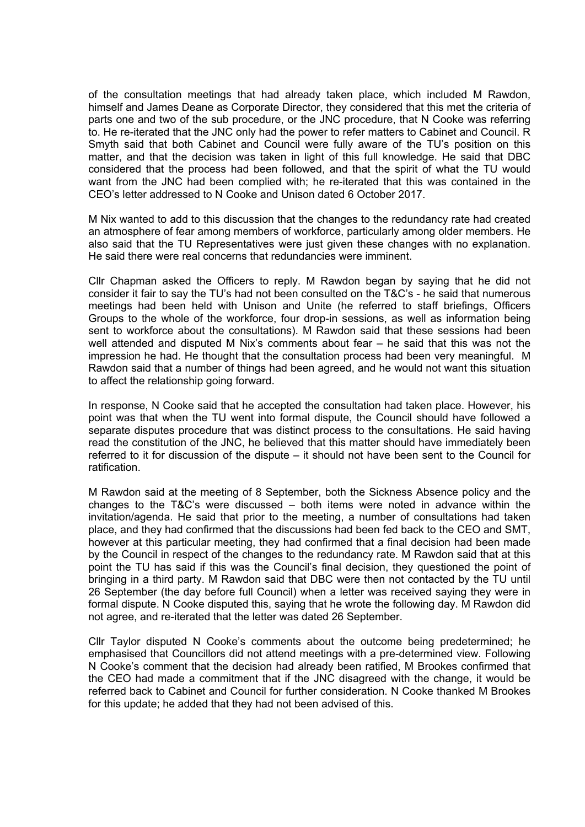of the consultation meetings that had already taken place, which included M Rawdon, himself and James Deane as Corporate Director, they considered that this met the criteria of parts one and two of the sub procedure, or the JNC procedure, that N Cooke was referring to. He re-iterated that the JNC only had the power to refer matters to Cabinet and Council. R Smyth said that both Cabinet and Council were fully aware of the TU's position on this matter, and that the decision was taken in light of this full knowledge. He said that DBC considered that the process had been followed, and that the spirit of what the TU would want from the JNC had been complied with; he re-iterated that this was contained in the CEO's letter addressed to N Cooke and Unison dated 6 October 2017.

M Nix wanted to add to this discussion that the changes to the redundancy rate had created an atmosphere of fear among members of workforce, particularly among older members. He also said that the TU Representatives were just given these changes with no explanation. He said there were real concerns that redundancies were imminent.

Cllr Chapman asked the Officers to reply. M Rawdon began by saying that he did not consider it fair to say the TU's had not been consulted on the T&C's - he said that numerous meetings had been held with Unison and Unite (he referred to staff briefings, Officers Groups to the whole of the workforce, four drop-in sessions, as well as information being sent to workforce about the consultations). M Rawdon said that these sessions had been well attended and disputed M Nix's comments about fear – he said that this was not the impression he had. He thought that the consultation process had been very meaningful. M Rawdon said that a number of things had been agreed, and he would not want this situation to affect the relationship going forward.

In response, N Cooke said that he accepted the consultation had taken place. However, his point was that when the TU went into formal dispute, the Council should have followed a separate disputes procedure that was distinct process to the consultations. He said having read the constitution of the JNC, he believed that this matter should have immediately been referred to it for discussion of the dispute – it should not have been sent to the Council for ratification.

M Rawdon said at the meeting of 8 September, both the Sickness Absence policy and the changes to the T&C's were discussed – both items were noted in advance within the invitation/agenda. He said that prior to the meeting, a number of consultations had taken place, and they had confirmed that the discussions had been fed back to the CEO and SMT, however at this particular meeting, they had confirmed that a final decision had been made by the Council in respect of the changes to the redundancy rate. M Rawdon said that at this point the TU has said if this was the Council's final decision, they questioned the point of bringing in a third party. M Rawdon said that DBC were then not contacted by the TU until 26 September (the day before full Council) when a letter was received saying they were in formal dispute. N Cooke disputed this, saying that he wrote the following day. M Rawdon did not agree, and re-iterated that the letter was dated 26 September.

Cllr Taylor disputed N Cooke's comments about the outcome being predetermined; he emphasised that Councillors did not attend meetings with a pre-determined view. Following N Cooke's comment that the decision had already been ratified, M Brookes confirmed that the CEO had made a commitment that if the JNC disagreed with the change, it would be referred back to Cabinet and Council for further consideration. N Cooke thanked M Brookes for this update; he added that they had not been advised of this.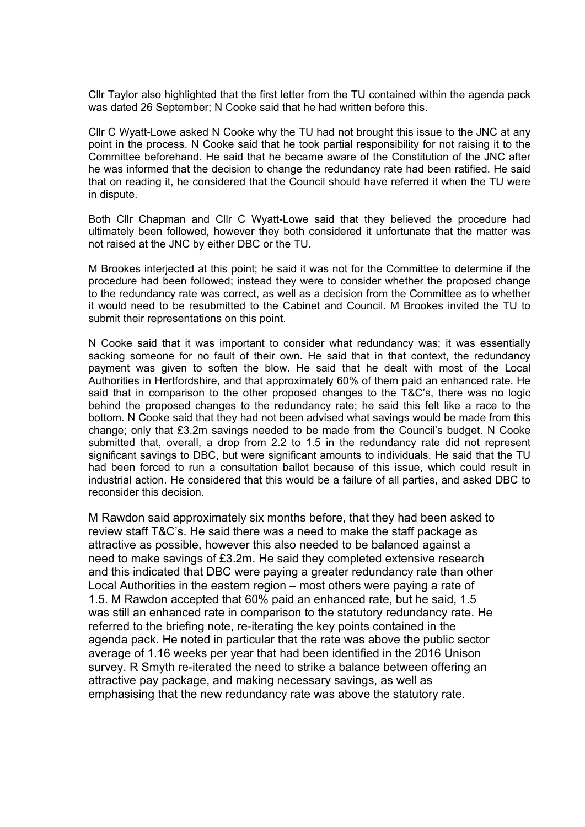Cllr Taylor also highlighted that the first letter from the TU contained within the agenda pack was dated 26 September; N Cooke said that he had written before this.

Cllr C Wyatt-Lowe asked N Cooke why the TU had not brought this issue to the JNC at any point in the process. N Cooke said that he took partial responsibility for not raising it to the Committee beforehand. He said that he became aware of the Constitution of the JNC after he was informed that the decision to change the redundancy rate had been ratified. He said that on reading it, he considered that the Council should have referred it when the TU were in dispute.

Both Cllr Chapman and Cllr C Wyatt-Lowe said that they believed the procedure had ultimately been followed, however they both considered it unfortunate that the matter was not raised at the JNC by either DBC or the TU.

M Brookes interjected at this point; he said it was not for the Committee to determine if the procedure had been followed; instead they were to consider whether the proposed change to the redundancy rate was correct, as well as a decision from the Committee as to whether it would need to be resubmitted to the Cabinet and Council. M Brookes invited the TU to submit their representations on this point.

N Cooke said that it was important to consider what redundancy was; it was essentially sacking someone for no fault of their own. He said that in that context, the redundancy payment was given to soften the blow. He said that he dealt with most of the Local Authorities in Hertfordshire, and that approximately 60% of them paid an enhanced rate. He said that in comparison to the other proposed changes to the T&C's, there was no logic behind the proposed changes to the redundancy rate; he said this felt like a race to the bottom. N Cooke said that they had not been advised what savings would be made from this change; only that £3.2m savings needed to be made from the Council's budget. N Cooke submitted that, overall, a drop from 2.2 to 1.5 in the redundancy rate did not represent significant savings to DBC, but were significant amounts to individuals. He said that the TU had been forced to run a consultation ballot because of this issue, which could result in industrial action. He considered that this would be a failure of all parties, and asked DBC to reconsider this decision.

M Rawdon said approximately six months before, that they had been asked to review staff T&C's. He said there was a need to make the staff package as attractive as possible, however this also needed to be balanced against a need to make savings of £3.2m. He said they completed extensive research and this indicated that DBC were paying a greater redundancy rate than other Local Authorities in the eastern region – most others were paying a rate of 1.5. M Rawdon accepted that 60% paid an enhanced rate, but he said, 1.5 was still an enhanced rate in comparison to the statutory redundancy rate. He referred to the briefing note, re-iterating the key points contained in the agenda pack. He noted in particular that the rate was above the public sector average of 1.16 weeks per year that had been identified in the 2016 Unison survey. R Smyth re-iterated the need to strike a balance between offering an attractive pay package, and making necessary savings, as well as emphasising that the new redundancy rate was above the statutory rate.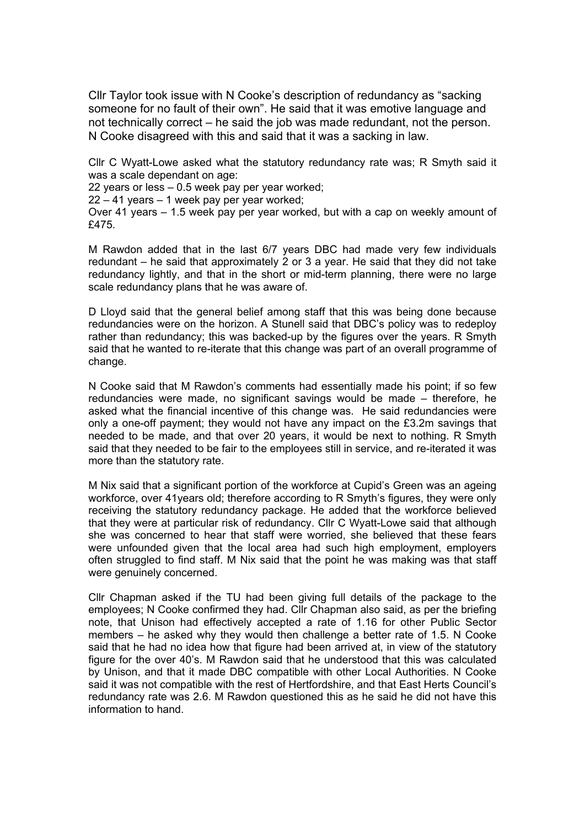Cllr Taylor took issue with N Cooke's description of redundancy as "sacking someone for no fault of their own". He said that it was emotive language and not technically correct – he said the job was made redundant, not the person. N Cooke disagreed with this and said that it was a sacking in law.

Cllr C Wyatt-Lowe asked what the statutory redundancy rate was; R Smyth said it was a scale dependant on age:

22 years or less – 0.5 week pay per year worked;

22 – 41 years – 1 week pay per year worked;

Over 41 years – 1.5 week pay per year worked, but with a cap on weekly amount of £475.

M Rawdon added that in the last 6/7 years DBC had made very few individuals redundant – he said that approximately 2 or 3 a year. He said that they did not take redundancy lightly, and that in the short or mid-term planning, there were no large scale redundancy plans that he was aware of.

D Lloyd said that the general belief among staff that this was being done because redundancies were on the horizon. A Stunell said that DBC's policy was to redeploy rather than redundancy; this was backed-up by the figures over the years. R Smyth said that he wanted to re-iterate that this change was part of an overall programme of change.

N Cooke said that M Rawdon's comments had essentially made his point; if so few redundancies were made, no significant savings would be made – therefore, he asked what the financial incentive of this change was. He said redundancies were only a one-off payment; they would not have any impact on the £3.2m savings that needed to be made, and that over 20 years, it would be next to nothing. R Smyth said that they needed to be fair to the employees still in service, and re-iterated it was more than the statutory rate.

M Nix said that a significant portion of the workforce at Cupid's Green was an ageing workforce, over 41years old; therefore according to R Smyth's figures, they were only receiving the statutory redundancy package. He added that the workforce believed that they were at particular risk of redundancy. Cllr C Wyatt-Lowe said that although she was concerned to hear that staff were worried, she believed that these fears were unfounded given that the local area had such high employment, employers often struggled to find staff. M Nix said that the point he was making was that staff were genuinely concerned.

Cllr Chapman asked if the TU had been giving full details of the package to the employees; N Cooke confirmed they had. Cllr Chapman also said, as per the briefing note, that Unison had effectively accepted a rate of 1.16 for other Public Sector members – he asked why they would then challenge a better rate of 1.5. N Cooke said that he had no idea how that figure had been arrived at, in view of the statutory figure for the over 40's. M Rawdon said that he understood that this was calculated by Unison, and that it made DBC compatible with other Local Authorities. N Cooke said it was not compatible with the rest of Hertfordshire, and that East Herts Council's redundancy rate was 2.6. M Rawdon questioned this as he said he did not have this information to hand.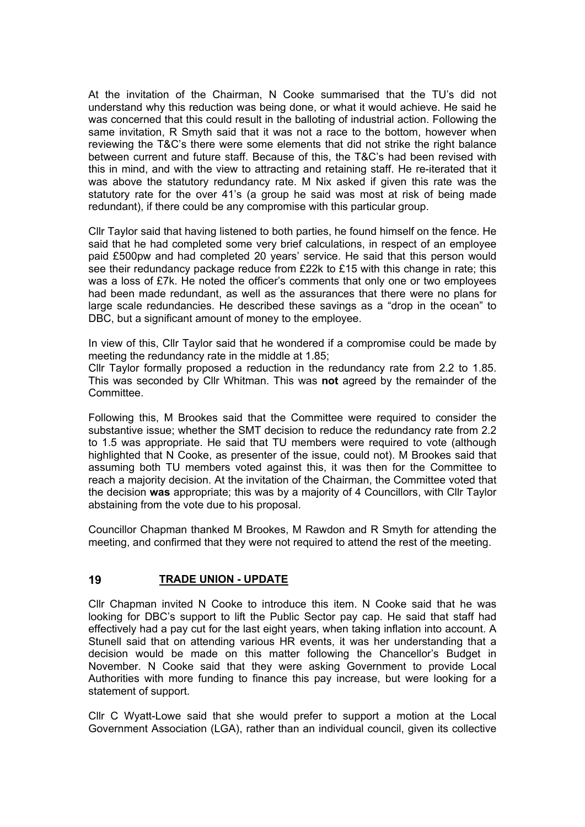At the invitation of the Chairman, N Cooke summarised that the TU's did not understand why this reduction was being done, or what it would achieve. He said he was concerned that this could result in the balloting of industrial action. Following the same invitation, R Smyth said that it was not a race to the bottom, however when reviewing the T&C's there were some elements that did not strike the right balance between current and future staff. Because of this, the T&C's had been revised with this in mind, and with the view to attracting and retaining staff. He re-iterated that it was above the statutory redundancy rate. M Nix asked if given this rate was the statutory rate for the over 41's (a group he said was most at risk of being made redundant), if there could be any compromise with this particular group.

Cllr Taylor said that having listened to both parties, he found himself on the fence. He said that he had completed some very brief calculations, in respect of an employee paid £500pw and had completed 20 years' service. He said that this person would see their redundancy package reduce from £22k to £15 with this change in rate; this was a loss of £7k. He noted the officer's comments that only one or two employees had been made redundant, as well as the assurances that there were no plans for large scale redundancies. He described these savings as a "drop in the ocean" to DBC, but a significant amount of money to the employee.

In view of this, Cllr Taylor said that he wondered if a compromise could be made by meeting the redundancy rate in the middle at 1.85;

Cllr Taylor formally proposed a reduction in the redundancy rate from 2.2 to 1.85. This was seconded by Cllr Whitman. This was **not** agreed by the remainder of the Committee.

Following this, M Brookes said that the Committee were required to consider the substantive issue; whether the SMT decision to reduce the redundancy rate from 2.2 to 1.5 was appropriate. He said that TU members were required to vote (although highlighted that N Cooke, as presenter of the issue, could not). M Brookes said that assuming both TU members voted against this, it was then for the Committee to reach a majority decision. At the invitation of the Chairman, the Committee voted that the decision **was** appropriate; this was by a majority of 4 Councillors, with Cllr Taylor abstaining from the vote due to his proposal.

Councillor Chapman thanked M Brookes, M Rawdon and R Smyth for attending the meeting, and confirmed that they were not required to attend the rest of the meeting.

## **19 TRADE UNION - UPDATE**

Cllr Chapman invited N Cooke to introduce this item. N Cooke said that he was looking for DBC's support to lift the Public Sector pay cap. He said that staff had effectively had a pay cut for the last eight years, when taking inflation into account. A Stunell said that on attending various HR events, it was her understanding that a decision would be made on this matter following the Chancellor's Budget in November. N Cooke said that they were asking Government to provide Local Authorities with more funding to finance this pay increase, but were looking for a statement of support.

Cllr C Wyatt-Lowe said that she would prefer to support a motion at the Local Government Association (LGA), rather than an individual council, given its collective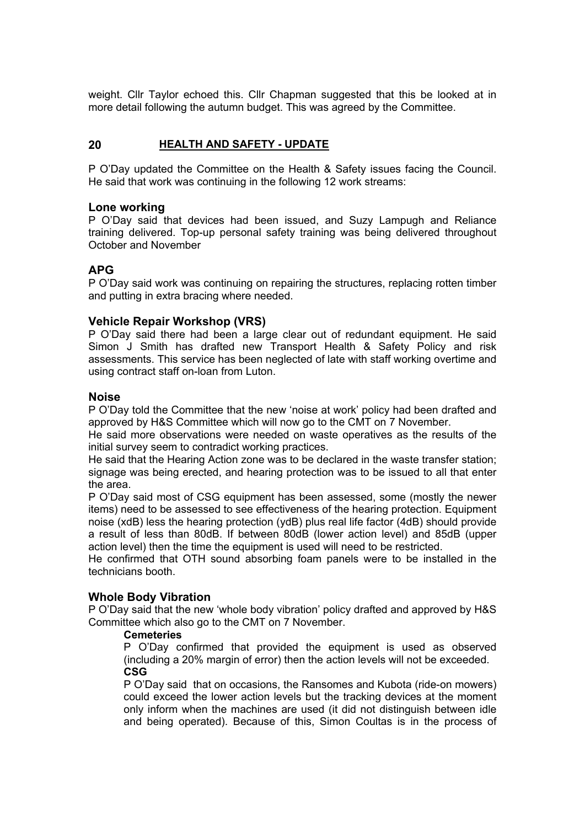weight. Cllr Taylor echoed this. Cllr Chapman suggested that this be looked at in more detail following the autumn budget. This was agreed by the Committee.

## **20 HEALTH AND SAFETY - UPDATE**

P O'Day updated the Committee on the Health & Safety issues facing the Council. He said that work was continuing in the following 12 work streams:

#### **Lone working**

P O'Day said that devices had been issued, and Suzy Lampugh and Reliance training delivered. Top-up personal safety training was being delivered throughout October and November

# **APG**

P O'Day said work was continuing on repairing the structures, replacing rotten timber and putting in extra bracing where needed.

### **Vehicle Repair Workshop (VRS)**

P O'Day said there had been a large clear out of redundant equipment. He said Simon J Smith has drafted new Transport Health & Safety Policy and risk assessments. This service has been neglected of late with staff working overtime and using contract staff on-loan from Luton.

#### **Noise**

P O'Day told the Committee that the new 'noise at work' policy had been drafted and approved by H&S Committee which will now go to the CMT on 7 November.

He said more observations were needed on waste operatives as the results of the initial survey seem to contradict working practices.

He said that the Hearing Action zone was to be declared in the waste transfer station; signage was being erected, and hearing protection was to be issued to all that enter the area.

P O'Day said most of CSG equipment has been assessed, some (mostly the newer items) need to be assessed to see effectiveness of the hearing protection. Equipment noise (xdB) less the hearing protection (ydB) plus real life factor (4dB) should provide a result of less than 80dB. If between 80dB (lower action level) and 85dB (upper action level) then the time the equipment is used will need to be restricted.

He confirmed that OTH sound absorbing foam panels were to be installed in the technicians booth.

## **Whole Body Vibration**

P O'Day said that the new 'whole body vibration' policy drafted and approved by H&S Committee which also go to the CMT on 7 November.

#### **Cemeteries**

P O'Day confirmed that provided the equipment is used as observed (including a 20% margin of error) then the action levels will not be exceeded. **CSG**

P O'Day said that on occasions, the Ransomes and Kubota (ride-on mowers) could exceed the lower action levels but the tracking devices at the moment only inform when the machines are used (it did not distinguish between idle and being operated). Because of this, Simon Coultas is in the process of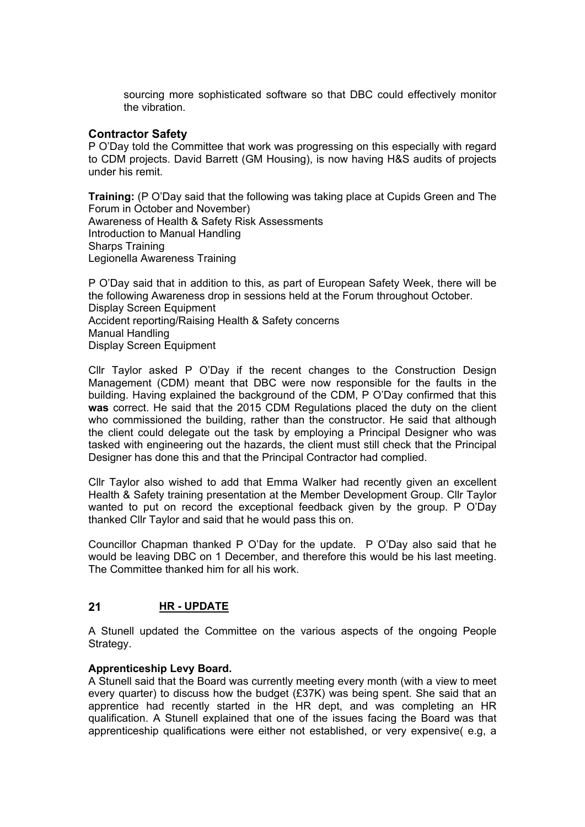sourcing more sophisticated software so that DBC could effectively monitor the vibration.

# **Contractor Safety**

P O'Day told the Committee that work was progressing on this especially with regard to CDM projects. David Barrett (GM Housing), is now having H&S audits of projects under his remit.

**Training:** (P O'Day said that the following was taking place at Cupids Green and The Forum in October and November) Awareness of Health & Safety Risk Assessments Introduction to Manual Handling Sharps Training Legionella Awareness Training

P O'Day said that in addition to this, as part of European Safety Week, there will be the following Awareness drop in sessions held at the Forum throughout October. Display Screen Equipment Accident reporting/Raising Health & Safety concerns Manual Handling Display Screen Equipment

Cllr Taylor asked P O'Day if the recent changes to the Construction Design Management (CDM) meant that DBC were now responsible for the faults in the building. Having explained the background of the CDM, P O'Day confirmed that this **was** correct. He said that the 2015 CDM Regulations placed the duty on the client who commissioned the building, rather than the constructor. He said that although the client could delegate out the task by employing a Principal Designer who was tasked with engineering out the hazards, the client must still check that the Principal Designer has done this and that the Principal Contractor had complied.

Cllr Taylor also wished to add that Emma Walker had recently given an excellent Health & Safety training presentation at the Member Development Group. Cllr Taylor wanted to put on record the exceptional feedback given by the group. P O'Day thanked Cllr Taylor and said that he would pass this on.

Councillor Chapman thanked P O'Day for the update. P O'Day also said that he would be leaving DBC on 1 December, and therefore this would be his last meeting. The Committee thanked him for all his work.

# **21 HR - UPDATE**

A Stunell updated the Committee on the various aspects of the ongoing People Strategy.

## **Apprenticeship Levy Board.**

A Stunell said that the Board was currently meeting every month (with a view to meet every quarter) to discuss how the budget (£37K) was being spent. She said that an apprentice had recently started in the HR dept, and was completing an HR qualification. A Stunell explained that one of the issues facing the Board was that apprenticeship qualifications were either not established, or very expensive( e.g, a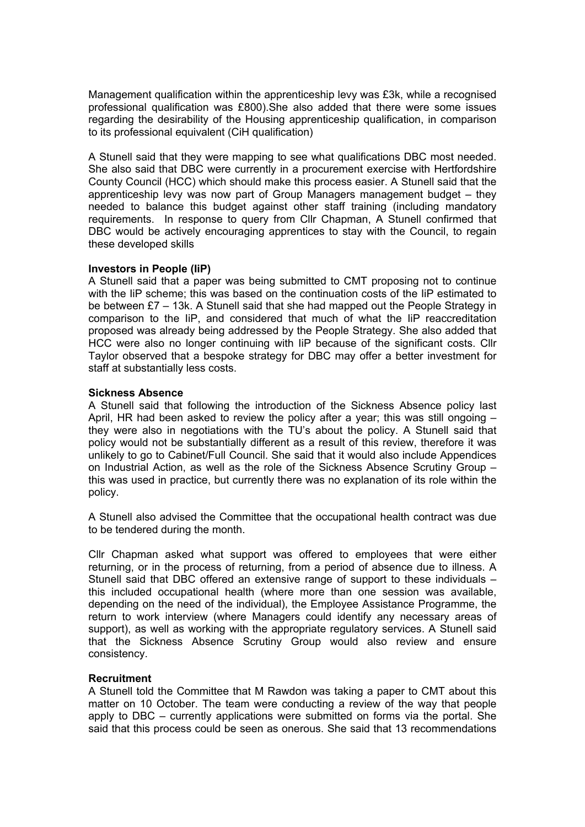Management qualification within the apprenticeship levy was £3k, while a recognised professional qualification was £800).She also added that there were some issues regarding the desirability of the Housing apprenticeship qualification, in comparison to its professional equivalent (CiH qualification)

A Stunell said that they were mapping to see what qualifications DBC most needed. She also said that DBC were currently in a procurement exercise with Hertfordshire County Council (HCC) which should make this process easier. A Stunell said that the apprenticeship levy was now part of Group Managers management budget – they needed to balance this budget against other staff training (including mandatory requirements. In response to query from Cllr Chapman, A Stunell confirmed that DBC would be actively encouraging apprentices to stay with the Council, to regain these developed skills

### **Investors in People (IiP)**

A Stunell said that a paper was being submitted to CMT proposing not to continue with the IiP scheme; this was based on the continuation costs of the IiP estimated to be between £7 – 13k. A Stunell said that she had mapped out the People Strategy in comparison to the IiP, and considered that much of what the IiP reaccreditation proposed was already being addressed by the People Strategy. She also added that HCC were also no longer continuing with IiP because of the significant costs. Cllr Taylor observed that a bespoke strategy for DBC may offer a better investment for staff at substantially less costs.

### **Sickness Absence**

A Stunell said that following the introduction of the Sickness Absence policy last April, HR had been asked to review the policy after a year; this was still ongoing – they were also in negotiations with the TU's about the policy. A Stunell said that policy would not be substantially different as a result of this review, therefore it was unlikely to go to Cabinet/Full Council. She said that it would also include Appendices on Industrial Action, as well as the role of the Sickness Absence Scrutiny Group – this was used in practice, but currently there was no explanation of its role within the policy.

A Stunell also advised the Committee that the occupational health contract was due to be tendered during the month.

Cllr Chapman asked what support was offered to employees that were either returning, or in the process of returning, from a period of absence due to illness. A Stunell said that DBC offered an extensive range of support to these individuals – this included occupational health (where more than one session was available, depending on the need of the individual), the Employee Assistance Programme, the return to work interview (where Managers could identify any necessary areas of support), as well as working with the appropriate regulatory services. A Stunell said that the Sickness Absence Scrutiny Group would also review and ensure consistency.

## **Recruitment**

A Stunell told the Committee that M Rawdon was taking a paper to CMT about this matter on 10 October. The team were conducting a review of the way that people apply to DBC – currently applications were submitted on forms via the portal. She said that this process could be seen as onerous. She said that 13 recommendations